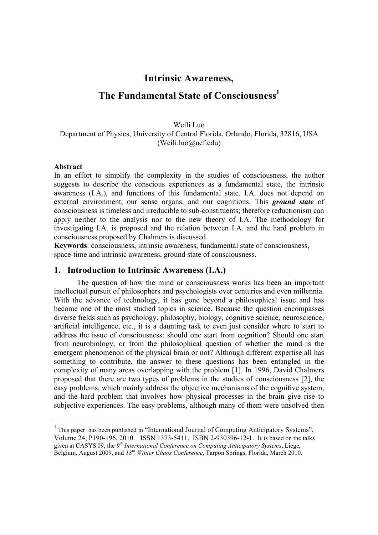# **Intrinsic Awareness,**

# **The Fundamental State of Consciousness**

Weili Luo Department of Physics, University of Central Florida, Orlando, Florida, 32816, USA (Weili.luo@ucf.edu)

#### **Abstract**

 $\overline{a}$ 

In an effort to simplify the complexity in the studies of consciousness, the author suggests to describe the conscious experiences as a fundamental state, the intrinsic awareness (I.A.), and functions of this fundamental state. I.A. does not depend on external environment, our sense organs, and our cognitions. This *ground state* of consciousness is timeless and irreducible to sub-constituents; therefore reductionism can apply neither to the analysis nor to the new theory of I.A. The methodology for investigating I.A. is proposed and the relation between I.A. and the hard problem in consciousness proposed by Chalmers is discussed.

**Keywords**: consciousness, intrinsic awareness, fundamental state of consciousness, space-time and intrinsic awareness, ground state of consciousness.

#### **1. Introduction to Intrinsic Awareness (I.A.)**

The question of how the mind or consciousness works has been an important intellectual pursuit of philosophers and psychologists over centuries and even millennia. With the advance of technology, it has gone beyond a philosophical issue and has become one of the most studied topics in science. Because the question encompasses diverse fields such as psychology, philosophy, biology, cognitive science, neuroscience, artificial intelligence, etc., it is a daunting task to even just consider where to start to address the issue of consciousness: should one start from cognition? Should one start from neurobiology, or from the philosophical question of whether the mind is the emergent phenomenon of the physical brain or not? Although different expertise all has something to contribute, the answer to these questions has been entangled in the complexity of many areas overlapping with the problem [1]. In 1996, David Chalmers proposed that there are two types of problems in the studies of consciousness [2], the easy problems, which mainly address the objective mechanisms of the cognitive system, and the hard problem that involves how physical processes in the brain give rise to subjective experiences. The easy problems, although many of them were unsolved then

<sup>&</sup>lt;sup>1</sup> This paper has been published in "International Journal of Computing Anticipatory Systems", Volume 24, P190-196, 2010. ISSN 1373-5411. ISBN 2-930396-12-1. It is based on the talks given at CASYS'09, the *9th International Conference on Computing Anticipatory Systems*, Liege, Belgium, August 2009, and *18th Winter Chaos Conference*, Tarpon Springs, Florida, March 2010.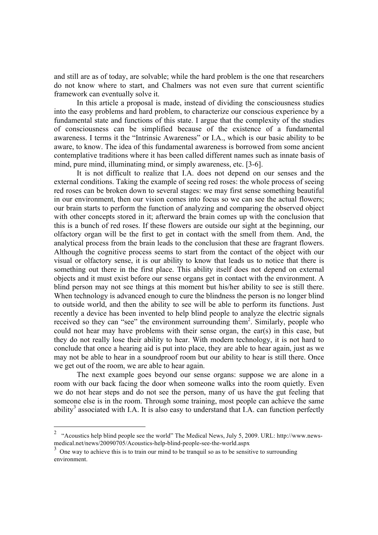and still are as of today, are solvable; while the hard problem is the one that researchers do not know where to start, and Chalmers was not even sure that current scientific framework can eventually solve it.

In this article a proposal is made, instead of dividing the consciousness studies into the easy problems and hard problem, to characterize our conscious experience by a fundamental state and functions of this state. I argue that the complexity of the studies of consciousness can be simplified because of the existence of a fundamental awareness. I terms it the "Intrinsic Awareness" or I.A., which is our basic ability to be aware, to know. The idea of this fundamental awareness is borrowed from some ancient contemplative traditions where it has been called different names such as innate basis of mind, pure mind, illuminating mind, or simply awareness, etc. [3-6].

It is not difficult to realize that I.A. does not depend on our senses and the external conditions. Taking the example of seeing red roses: the whole process of seeing red roses can be broken down to several stages: we may first sense something beautiful in our environment, then our vision comes into focus so we can see the actual flowers; our brain starts to perform the function of analyzing and comparing the observed object with other concepts stored in it; afterward the brain comes up with the conclusion that this is a bunch of red roses. If these flowers are outside our sight at the beginning, our olfactory organ will be the first to get in contact with the smell from them. And, the analytical process from the brain leads to the conclusion that these are fragrant flowers. Although the cognitive process seems to start from the contact of the object with our visual or olfactory sense, it is our ability to know that leads us to notice that there is something out there in the first place. This ability itself does not depend on external objects and it must exist before our sense organs get in contact with the environment. A blind person may not see things at this moment but his/her ability to see is still there. When technology is advanced enough to cure the blindness the person is no longer blind to outside world, and then the ability to see will be able to perform its functions. Just recently a device has been invented to help blind people to analyze the electric signals received so they can "see" the environment surrounding them<sup>2</sup>. Similarly, people who could not hear may have problems with their sense organ, the ear(s) in this case, but they do not really lose their ability to hear. With modern technology, it is not hard to conclude that once a hearing aid is put into place, they are able to hear again, just as we may not be able to hear in a soundproof room but our ability to hear is still there. Once we get out of the room, we are able to hear again.

The next example goes beyond our sense organs: suppose we are alone in a room with our back facing the door when someone walks into the room quietly. Even we do not hear steps and do not see the person, many of us have the gut feeling that someone else is in the room. Through some training, most people can achieve the same ability<sup>3</sup> associated with I.A. It is also easy to understand that I.A. can function perfectly

 $\overline{a}$ 

<sup>&</sup>lt;sup>2</sup> "Acoustics help blind people see the world" The Medical News, July 5, 2009. URL: http://www.newsmedical.net/news/20090705/Acoustics-help-blind-people-see-the-world.aspx

<sup>&</sup>lt;sup>3</sup> One way to achieve this is to train our mind to be tranquil so as to be sensitive to surrounding environment.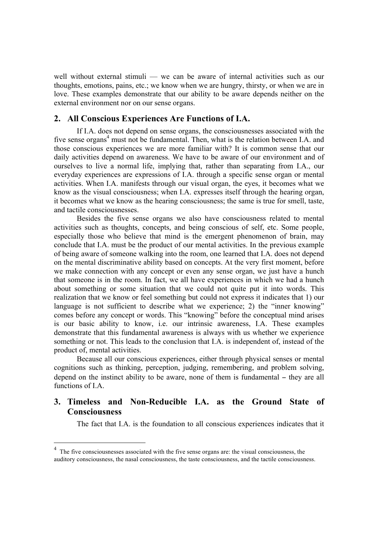well without external stimuli — we can be aware of internal activities such as our thoughts, emotions, pains, etc.; we know when we are hungry, thirsty, or when we are in love. These examples demonstrate that our ability to be aware depends neither on the external environment nor on our sense organs.

### **2. All Conscious Experiences Are Functions of I.A.**

If I.A. does not depend on sense organs, the consciousnesses associated with the five sense organs<sup>4</sup> must not be fundamental. Then, what is the relation between I.A. and those conscious experiences we are more familiar with? It is common sense that our daily activities depend on awareness. We have to be aware of our environment and of ourselves to live a normal life, implying that, rather than separating from I.A., our everyday experiences are expressions of I.A. through a specific sense organ or mental activities. When I.A. manifests through our visual organ, the eyes, it becomes what we know as the visual consciousness; when I.A. expresses itself through the hearing organ, it becomes what we know as the hearing consciousness; the same is true for smell, taste, and tactile consciousnesses.

Besides the five sense organs we also have consciousness related to mental activities such as thoughts, concepts, and being conscious of self, etc. Some people, especially those who believe that mind is the emergent phenomenon of brain, may conclude that I.A. must be the product of our mental activities. In the previous example of being aware of someone walking into the room, one learned that I.A. does not depend on the mental discriminative ability based on concepts. At the very first moment, before we make connection with any concept or even any sense organ, we just have a hunch that someone is in the room. In fact, we all have experiences in which we had a hunch about something or some situation that we could not quite put it into words. This realization that we know or feel something but could not express it indicates that 1) our language is not sufficient to describe what we experience; 2) the "inner knowing" comes before any concept or words. This "knowing" before the conceptual mind arises is our basic ability to know, i.e. our intrinsic awareness, I.A. These examples demonstrate that this fundamental awareness is always with us whether we experience something or not. This leads to the conclusion that I.A. is independent of, instead of the product of, mental activities.

Because all our conscious experiences, either through physical senses or mental cognitions such as thinking, perception, judging, remembering, and problem solving, depend on the instinct ability to be aware, none of them is fundamental – they are all functions of I.A.

## **3. Timeless and Non-Reducible I.A. as the Ground State of Consciousness**

The fact that I.A. is the foundation to all conscious experiences indicates that it

 $\overline{a}$ 

<sup>4</sup> The five consciousnesses associated with the five sense organs are: the visual consciousness, the auditory consciousness, the nasal consciousness, the taste consciousness, and the tactile consciousness.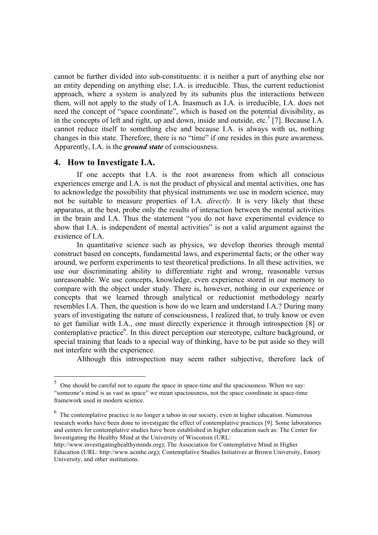cannot be further divided into sub-constituents: it is neither a part of anything else nor an entity depending on anything else; I.A. is irreducible. Thus, the current reductionist approach, where a system is analyzed by its subunits plus the interactions between them, will not apply to the study of I.A. Inasmuch as I.A. is irreducible, I.A. does not need the concept of "space coordinate", which is based on the potential divisibility, as in the concepts of left and right, up and down, inside and outside, etc.<sup>5</sup> [7]. Because I.A. cannot reduce itself to something else and because I.A. is always with us, nothing changes in this state. Therefore, there is no "time" if one resides in this pure awareness. Apparently, I.A. is the *ground state* of consciousness.

#### **4. How to Investigate I.A.**

 $\overline{a}$ 

If one accepts that I.A. is the root awareness from which all conscious experiences emerge and I.A. is not the product of physical and mental activities, one has to acknowledge the possibility that physical instruments we use in modern science, may not be suitable to measure properties of I.A. *directly*. It is very likely that these apparatus, at the best, probe only the results of interaction between the mental activities in the brain and I.A. Thus the statement "you do not have experimental evidence to show that I.A. is independent of mental activities" is not a valid argument against the existence of I.A.

In quantitative science such as physics, we develop theories through mental construct based on concepts, fundamental laws, and experimental facts; or the other way around, we perform experiments to test theoretical predictions. In all these activities, we use our discriminating ability to differentiate right and wrong, reasonable versus unreasonable. We use concepts, knowledge, even experience stored in our memory to compare with the object under study. There is, however, nothing in our experience or concepts that we learned through analytical or reductionist methodology nearly resembles I.A. Then, the question is how do we learn and understand I.A.? During many years of investigating the nature of consciousness, I realized that, to truly know or even to get familiar with I.A., one must directly experience it through introspection [8] or contemplative practice<sup>6</sup>. In this direct perception our stereotype, culture background, or special training that leads to a special way of thinking, have to be put aside so they will not interfere with the experience.

Although this introspection may seem rather subjective, therefore lack of

 $5$  One should be careful not to equate the space in space-time and the spaciousness. When we say: "someone's mind is as vast as space" we mean spaciousness, not the space coordinate in space-time framework used in modern science.

 $<sup>6</sup>$  The contemplative practice is no longer a taboo in our society, even in higher education. Numerous</sup> research works have been done to investigate the effect of contemplative practices [9]. Some laboratories and centers for contemplative studies have been established in higher education such as: The Center for Investigating the Healthy Mind at the University of Wisconsin (URL:

http://www.investigatinghealthyminds.org); The Association for Contemplative Mind in Higher Education (URL: http://www.acmhe.org); Contemplative Studies Initiatives at Brown University, Emory University, and other institutions.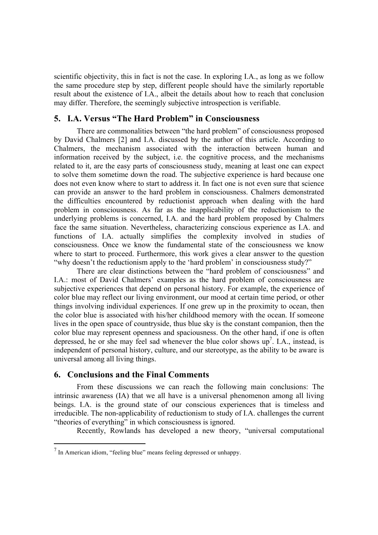scientific objectivity, this in fact is not the case. In exploring I.A., as long as we follow the same procedure step by step, different people should have the similarly reportable result about the existence of I.A., albeit the details about how to reach that conclusion may differ. Therefore, the seemingly subjective introspection is verifiable.

## **5. I.A. Versus "The Hard Problem" in Consciousness**

There are commonalities between "the hard problem" of consciousness proposed by David Chalmers [2] and I.A. discussed by the author of this article. According to Chalmers, the mechanism associated with the interaction between human and information received by the subject, i.e. the cognitive process, and the mechanisms related to it, are the easy parts of consciousness study, meaning at least one can expect to solve them sometime down the road. The subjective experience is hard because one does not even know where to start to address it. In fact one is not even sure that science can provide an answer to the hard problem in consciousness. Chalmers demonstrated the difficulties encountered by reductionist approach when dealing with the hard problem in consciousness. As far as the inapplicability of the reductionism to the underlying problems is concerned, I.A. and the hard problem proposed by Chalmers face the same situation. Nevertheless, characterizing conscious experience as I.A. and functions of I.A. actually simplifies the complexity involved in studies of consciousness. Once we know the fundamental state of the consciousness we know where to start to proceed. Furthermore, this work gives a clear answer to the question "why doesn't the reductionism apply to the 'hard problem' in consciousness study?"

There are clear distinctions between the "hard problem of consciousness" and I.A.: most of David Chalmers' examples as the hard problem of consciousness are subjective experiences that depend on personal history. For example, the experience of color blue may reflect our living environment, our mood at certain time period, or other things involving individual experiences. If one grew up in the proximity to ocean, then the color blue is associated with his/her childhood memory with the ocean. If someone lives in the open space of countryside, thus blue sky is the constant companion, then the color blue may represent openness and spaciousness. On the other hand, if one is often depressed, he or she may feel sad whenever the blue color shows  $up^7$ . I.A., instead, is independent of personal history, culture, and our stereotype, as the ability to be aware is universal among all living things.

#### **6. Conclusions and the Final Comments**

 $\overline{a}$ 

From these discussions we can reach the following main conclusions: The intrinsic awareness (IA) that we all have is a universal phenomenon among all living beings. I.A. is the ground state of our conscious experiences that is timeless and irreducible. The non-applicability of reductionism to study of I.A. challenges the current "theories of everything" in which consciousness is ignored.

Recently, Rowlands has developed a new theory, "universal computational

 $<sup>7</sup>$  In American idiom, "feeling blue" means feeling depressed or unhappy.</sup>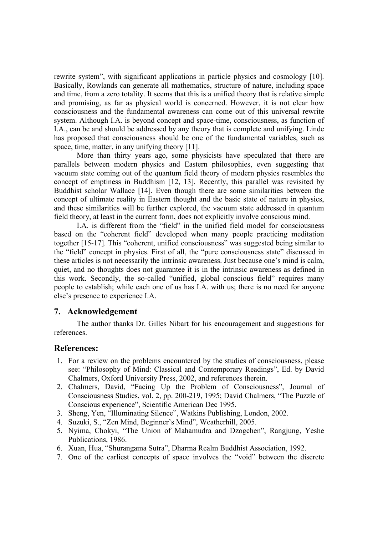rewrite system", with significant applications in particle physics and cosmology [10]. Basically, Rowlands can generate all mathematics, structure of nature, including space and time, from a zero totality. It seems that this is a unified theory that is relative simple and promising, as far as physical world is concerned. However, it is not clear how consciousness and the fundamental awareness can come out of this universal rewrite system. Although I.A. is beyond concept and space-time, consciousness, as function of I.A., can be and should be addressed by any theory that is complete and unifying. Linde has proposed that consciousness should be one of the fundamental variables, such as space, time, matter, in any unifying theory [11].

More than thirty years ago, some physicists have speculated that there are parallels between modern physics and Eastern philosophies, even suggesting that vacuum state coming out of the quantum field theory of modern physics resembles the concept of emptiness in Buddhism [12, 13]. Recently, this parallel was revisited by Buddhist scholar Wallace [14]. Even though there are some similarities between the concept of ultimate reality in Eastern thought and the basic state of nature in physics, and these similarities will be further explored, the vacuum state addressed in quantum field theory, at least in the current form, does not explicitly involve conscious mind.

I.A. is different from the "field" in the unified field model for consciousness based on the "coherent field" developed when many people practicing meditation together [15-17]. This "coherent, unified consciousness" was suggested being similar to the "field" concept in physics. First of all, the "pure consciousness state" discussed in these articles is not necessarily the intrinsic awareness. Just because one's mind is calm, quiet, and no thoughts does not guarantee it is in the intrinsic awareness as defined in this work. Secondly, the so-called "unified, global conscious field" requires many people to establish; while each one of us has I.A. with us; there is no need for anyone else's presence to experience I.A.

#### **7. Acknowledgement**

The author thanks Dr. Gilles Nibart for his encouragement and suggestions for references.

#### **References:**

- 1. For a review on the problems encountered by the studies of consciousness, please see: "Philosophy of Mind: Classical and Contemporary Readings", Ed. by David Chalmers, Oxford University Press, 2002, and references therein.
- 2. Chalmers, David, "Facing Up the Problem of Consciousness", Journal of Consciousness Studies, vol. 2, pp. 200-219, 1995; David Chalmers, "The Puzzle of Conscious experience", Scientific American Dec 1995.
- 3. Sheng, Yen, "Illuminating Silence", Watkins Publishing, London, 2002.
- 4. Suzuki, S., "Zen Mind, Beginner's Mind", Weatherhill, 2005.
- 5. Nyima, Chokyi, "The Union of Mahamudra and Dzogchen", Rangjung, Yeshe Publications, 1986.
- 6. Xuan, Hua, "Shurangama Sutra", Dharma Realm Buddhist Association, 1992.
- 7. One of the earliest concepts of space involves the "void" between the discrete